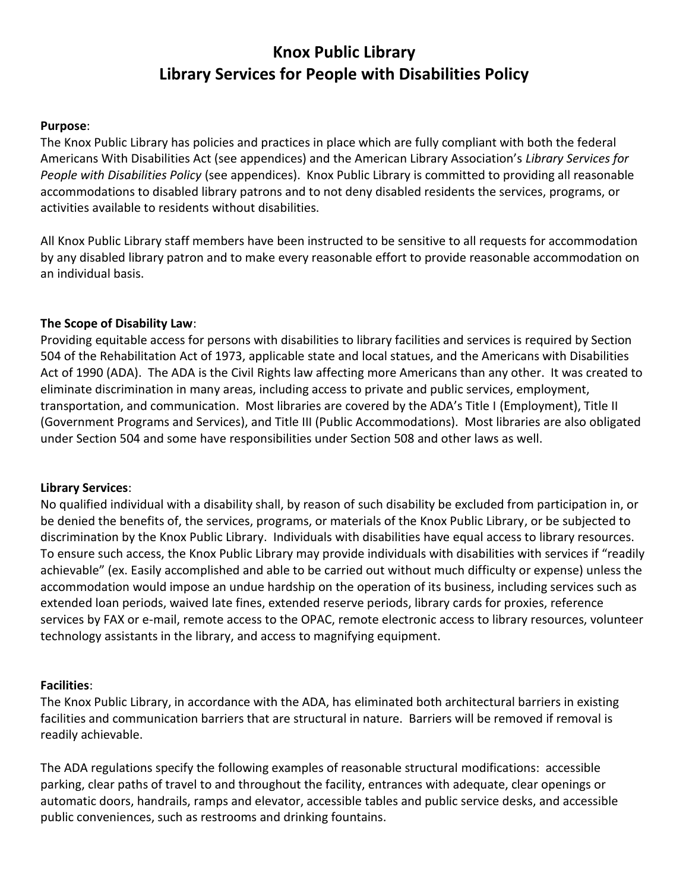# **Knox Public Library Library Services for People with Disabilities Policy**

## **Purpose**:

The Knox Public Library has policies and practices in place which are fully compliant with both the federal Americans With Disabilities Act (see appendices) and the American Library Association's *Library Services for People with Disabilities Policy* (see appendices). Knox Public Library is committed to providing all reasonable accommodations to disabled library patrons and to not deny disabled residents the services, programs, or activities available to residents without disabilities.

All Knox Public Library staff members have been instructed to be sensitive to all requests for accommodation by any disabled library patron and to make every reasonable effort to provide reasonable accommodation on an individual basis.

### **The Scope of Disability Law**:

Providing equitable access for persons with disabilities to library facilities and services is required by Section 504 of the Rehabilitation Act of 1973, applicable state and local statues, and the Americans with Disabilities Act of 1990 (ADA). The ADA is the Civil Rights law affecting more Americans than any other. It was created to eliminate discrimination in many areas, including access to private and public services, employment, transportation, and communication. Most libraries are covered by the ADA's Title I (Employment), Title II (Government Programs and Services), and Title III (Public Accommodations). Most libraries are also obligated under Section 504 and some have responsibilities under Section 508 and other laws as well.

#### **Library Services**:

No qualified individual with a disability shall, by reason of such disability be excluded from participation in, or be denied the benefits of, the services, programs, or materials of the Knox Public Library, or be subjected to discrimination by the Knox Public Library. Individuals with disabilities have equal access to library resources. To ensure such access, the Knox Public Library may provide individuals with disabilities with services if "readily achievable" (ex. Easily accomplished and able to be carried out without much difficulty or expense) unless the accommodation would impose an undue hardship on the operation of its business, including services such as extended loan periods, waived late fines, extended reserve periods, library cards for proxies, reference services by FAX or e-mail, remote access to the OPAC, remote electronic access to library resources, volunteer technology assistants in the library, and access to magnifying equipment.

#### **Facilities**:

The Knox Public Library, in accordance with the ADA, has eliminated both architectural barriers in existing facilities and communication barriers that are structural in nature. Barriers will be removed if removal is readily achievable.

The ADA regulations specify the following examples of reasonable structural modifications: accessible parking, clear paths of travel to and throughout the facility, entrances with adequate, clear openings or automatic doors, handrails, ramps and elevator, accessible tables and public service desks, and accessible public conveniences, such as restrooms and drinking fountains.